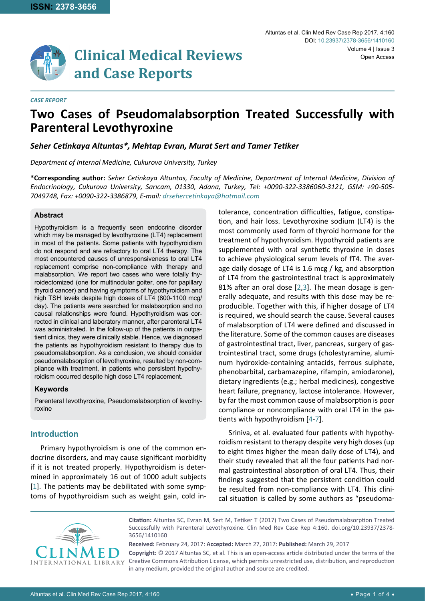

#### *CASE REPORT*

# **Two Cases of Pseudomalabsorption Treated Successfully with Parenteral Levothyroxine**

### *Seher Cetinkaya Altuntas\*, Mehtap Evran, Murat Sert and Tamer Tetiker*

*Department of Internal Medicine, Cukurova University, Turkey*

**\*Corresponding author:** *Seher Cetinkaya Altuntas, Faculty of Medicine, Department of Internal Medicine, Division of Endocrinology, Cukurova University, Sarıcam, 01330, Adana, Turkey, Tel: +0090-322-3386060-3121, GSM: +90-505- 7049748, Fax: +0090-322-3386879, E-mail: drsehercetinkaya@hotmail.com*

## **Abstract**

Hypothyroidism is a frequently seen endocrine disorder which may be managed by levothyroxine (LT4) replacement in most of the patients. Some patients with hypothyroidism do not respond and are refractory to oral LT4 therapy. The most encountered causes of unresponsiveness to oral LT4 replacement comprise non-compliance with therapy and malabsorption. We report two cases who were totally thyroidectomized (one for multinodular goiter, one for papillary thyroid cancer) and having symptoms of hypothyroidism and high TSH levels despite high doses of LT4 (800-1100 mcg/ day). The patients were searched for malabsorption and no causal relationships were found. Hypothyroidism was corrected in clinical and laboratory manner, after parenteral LT4 was administrated. In the follow-up of the patients in outpatient clinics, they were clinically stable. Hence, we diagnosed the patients as hypothyroidism resistant to therapy due to pseudomalabsorption. As a conclusion, we should consider pseudomalabsorption of levothyroxine, resulted by non-compliance with treatment, in patients who persistent hypothyroidism occurred despite high dose LT4 replacement.

#### **Keywords**

Parenteral levothyroxine, Pseudomalabsorption of levothyroxine

## **Introduction**

Primary hypothyroidism is one of the common endocrine disorders, and may cause significant morbidity if it is not treated properly. Hypothyroidism is determined in approximately 16 out of 1000 adult subjects [[1](#page-2-0)]. The patients may be debilitated with some symptoms of hypothyroidism such as weight gain, cold intolerance, concentration difficulties, fatigue, constipation, and hair loss. Levothyroxine sodium (LT4) is the most commonly used form of thyroid hormone for the treatment of hypothyroidism. Hypothyroid patients are supplemented with oral synthetic thyroxine in doses to achieve physiological serum levels of fT4. The average daily dosage of LT4 is 1.6 mcg / kg, and absorption of LT4 from the gastrointestinal tract is approximately 81% after an oral dose [\[2](#page-2-1),[3\]](#page-2-2). The mean dosage is generally adequate, and results with this dose may be reproducible. Together with this, if higher dosage of LT4 is required, we should search the cause. Several causes of malabsorption of LT4 were defined and discussed in the literature. Some of the common causes are diseases of gastrointestinal tract, liver, pancreas, surgery of gastrointestinal tract, some drugs (cholestyramine, aluminum hydroxide-containing antacids, ferrous sulphate, phenobarbital, carbamazepine, rifampin, amiodarone), dietary ingredients (e.g.; herbal medicines), congestive heart failure, pregnancy, lactose intolerance. However, by far the most common cause of malabsorption is poor compliance or noncompliance with oral LT4 in the patients with hypothyroidism [[4](#page-2-3)[-7](#page-2-4)].

Sriniva, et al. evaluated four patients with hypothyroidism resistant to therapy despite very high doses (up to eight times higher the mean daily dose of LT4), and their study revealed that all the four patients had normal gastrointestinal absorption of oral LT4. Thus, their findings suggested that the persistent condition could be resulted from non-compliance with LT4. This clinical situation is called by some authors as "pseudoma-



**Citation:** Altuntas SC, Evran M, Sert M, Tetiker T (2017) Two Cases of Pseudomalabsorption Treated Successfully with Parenteral Levothyroxine. Clin Med Rev Case Rep 4:160. [doi.org/10.23937/2378-](https://doi.org/10.23937/2378-3656/1410160) [3656/14101](https://doi.org/10.23937/2378-3656/1410160)60

**Received:** February 24, 2017: **Accepted:** March 27, 2017: **Published:** March 29, 2017 **Copyright:** © 2017 Altuntas SC, et al. This is an open-access article distributed under the terms of the Creative Commons Attribution License, which permits unrestricted use, distribution, and reproduction in any medium, provided the original author and source are credited.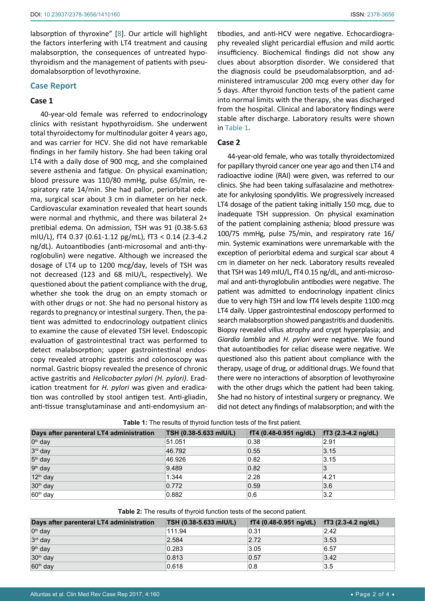labsorption of thyroxine" [[8](#page-2-5)]. Our article will highlight the factors interfering with LT4 treatment and causing malabsorption, the consequences of untreated hypothyroidism and the management of patients with pseudomalabsorption of levothyroxine.

#### **Case Report**

## **Case 1**

40-year-old female was referred to endocrinology clinics with resistant hypothyroidism. She underwent total thyroidectomy for multinodular goiter 4 years ago, and was carrier for HCV. She did not have remarkable findings in her family history. She had been taking oral LT4 with a daily dose of 900 mcg, and she complained severe asthenia and fatigue. On physical examination; blood pressure was 110/80 mmHg, pulse 65/min, respiratory rate 14/min. She had pallor, periorbital edema, surgical scar about 3 cm in diameter on her neck. Cardiovascular examination revealed that heart sounds were normal and rhythmic, and there was bilateral 2+ pretibial edema. On admission, TSH was 91 (0.38-5.63 mIU/L), fT4 0.37 (0.61-1.12 pg/mL), fT3 < 0.14 (2.3-4.2 ng/dL). Autoantibodies (anti-microsomal and anti-thyroglobulin) were negative. Although we increased the dosage of LT4 up to 1200 mcg/day, levels of TSH was not decreased (123 and 68 mIU/L, respectively). We questioned about the patient compliance with the drug, whether she took the drug on an empty stomach or with other drugs or not. She had no personal history as regards to pregnancy or intestinal surgery. Then, the patient was admitted to endocrinology outpatient clinics to examine the cause of elevated TSH level. Endoscopic evaluation of gastrointestinal tract was performed to detect malabsorption; upper gastrointestinal endoscopy revealed atrophic gastritis and colonoscopy was normal. Gastric biopsy revealed the presence of chronic active gastritis and *Helicobacter pylori (H. pylori).* Eradication treatment for *H. pylori* was given and eradication was controlled by stool antigen test. Anti-gliadin, anti-tissue transglutaminase and anti-endomysium antibodies, and anti-HCV were negative. Echocardiography revealed slight pericardial effusion and mild aortic insufficiency. Biochemical findings did not show any clues about absorption disorder. We considered that the diagnosis could be pseudomalabsorption, and administered intramuscular 200 mcg every other day for 5 days. After thyroid function tests of the patient came into normal limits with the therapy, she was discharged from the hospital. Clinical and laboratory findings were stable after discharge. Laboratory results were shown in [Table 1.](#page-1-0)

### **Case 2**

44-year-old female, who was totally thyroidectomized for papillary thyroid cancer one year ago and then LT4 and radioactive iodine (RAI) were given, was referred to our clinics. She had been taking sulfasalazine and methotrexate for ankylosing spondylitis. We progressively increased LT4 dosage of the patient taking initially 150 mcg, due to inadequate TSH suppression. On physical examination of the patient complaining asthenia; blood pressure was 100/75 mmHg, pulse 75/min, and respiratory rate 16/ min. Systemic examinations were unremarkable with the exception of periorbital edema and surgical scar about 4 cm in diameter on her neck. Laboratory results revealed that TSH was 149 mIU/L, fT4 0.15 ng/dL, and anti-microsomal and anti-thyroglobulin antibodies were negative. The patient was admitted to endocrinology inpatient clinics due to very high TSH and low fT4 levels despite 1100 mcg LT4 daily. Upper gastrointestinal endoscopy performed to search malabsorption showed pangastritis and duodenitis. Biopsy revealed villus atrophy and crypt hyperplasia; and *Giardia lamblia* and *H. pylori* were negative. We found that autoantibodies for celiac disease were negative. We questioned also this patient about compliance with the therapy, usage of drug, or additional drugs. We found that there were no interactions of absorption of levothyroxine with the other drugs which the patient had been taking. She had no history of intestinal surgery or pregnancy. We did not detect any findings of malabsorption; and with the

| Days after parenteral LT4 administration | TSH (0.38-5.633 mIU/L) | fT4 (0.48-0.951 ng/dL) | $fT3$ (2.3-4.2 ng/dL) |
|------------------------------------------|------------------------|------------------------|-----------------------|
| 0 <sup>th</sup> day                      | 51.051                 | 0.38                   | 2.91                  |
| 3rd day                                  | 46.792                 | 0.55                   | 3.15                  |
| 5 <sup>th</sup> day                      | 46.926                 | 0.82                   | 3.15                  |
| 9 <sup>th</sup> day                      | 9.489                  | 0.82                   | 3                     |
| 12 <sup>th</sup> day                     | 1.344                  | 2.28                   | 4.21                  |
| 30 <sup>th</sup> day                     | 0.772                  | 0.59                   | 3.6                   |
| 60 <sup>th</sup> day                     | 0.882                  | 0.6                    | 3.2                   |

<span id="page-1-0"></span>**Table 1:** The results of thyroid function tests of the first patient.

<span id="page-1-1"></span>

| Days after parenteral LT4 administration | TSH (0.38-5.633 mIU/L) | $fT4 (0.48-0.951 ng/dL)$ | $TT3$ (2.3-4.2 ng/dL) |
|------------------------------------------|------------------------|--------------------------|-----------------------|
| 0 <sup>th</sup> day                      | 111.94                 | 0.31                     | 2.42                  |
| 3rd day                                  | 2.584                  | 2.72                     | 3.53                  |
| 9 <sup>th</sup> day                      | 0.283                  | 3.05                     | 6.57                  |
| 30 <sup>th</sup> day                     | 0.813                  | 0.57                     | 3.42                  |
| $60th$ day                               | 0.618                  | 0.8                      | 3.5                   |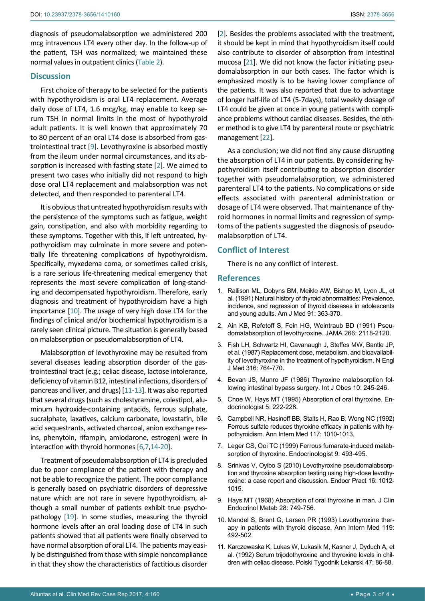diagnosis of pseudomalabsorption we administered 200 mcg intravenous LT4 every other day. In the follow-up of the patient, TSH was normalized; we maintained these normal values in outpatient clinics [\(Table 2](#page-1-1)).

## **Discussion**

First choice of therapy to be selected for the patients with hypothyroidism is oral LT4 replacement. Average daily dose of LT4, 1.6 mcg/kg, may enable to keep serum TSH in normal limits in the most of hypothyroid adult patients. It is well known that approximately 70 to 80 percent of an oral LT4 dose is absorbed from gastrointestinal tract [[9](#page-2-6)]. Levothyroxine is absorbed mostly from the ileum under normal circumstances, and its absorption is increased with fasting state [\[2\]](#page-2-1). We aimed to present two cases who initially did not respond to high dose oral LT4 replacement and malabsorption was not detected, and then responded to parenteral LT4.

It is obvious that untreated hypothyroidism results with the persistence of the symptoms such as fatigue, weight gain, constipation, and also with morbidity regarding to these symptoms. Together with this, if left untreated, hypothyroidism may culminate in more severe and potentially life threatening complications of hypothyroidism. Specifically, myxedema coma, or sometimes called crisis, is a rare serious life-threatening medical emergency that represents the most severe complication of long-standing and decompensated hypothyroidism. Therefore, early diagnosis and treatment of hypothyroidism have a high importance [\[10\]](#page-2-7). The usage of very high dose LT4 for the findings of clinical and/or biochemical hypothyroidism is a rarely seen clinical picture. The situation is generally based on malabsorption or pseudomalabsorption of LT4.

Malabsorption of levothyroxine may be resulted from several diseases leading absorption disorder of the gastrointestinal tract (e.g.; celiac disease, lactose intolerance, deficiency of vitamin B12, intestinal infections, disorders of pancreas and liver, and drugs) [\[11](#page-2-8)[-13\]](#page-3-2). It was also reported that several drugs (such as cholestyramine, colestipol, aluminum hydroxide-containing antacids, ferrous sulphate, sucralphate, laxatives, calcium carbonate, lovastatin, bile acid sequestrants, activated charcoal, anion exchange resins, phenytoin, rifampin, amiodarone, estrogen) were in interaction with thyroid hormones [\[6](#page-2-9),[7](#page-2-4),[14-](#page-3-3)[20](#page-3-4)].

Treatment of pseudomalabsorption of LT4 is precluded due to poor compliance of the patient with therapy and not be able to recognize the patient. The poor compliance is generally based on psychiatric disorders of depressive nature which are not rare in severe hypothyroidism, although a small number of patients exhibit true psychopathology [\[19\]](#page-3-5). In some studies, measuring the thyroid hormone levels after an oral loading dose of LT4 in such patients showed that all patients were finally observed to have normal absorption of oral LT4. The patients may easily be distinguished from those with simple noncompliance in that they show the characteristics of factitious disorder

[[2](#page-2-1)]. Besides the problems associated with the treatment, it should be kept in mind that hypothyroidism itself could also contribute to disorder of absorption from intestinal mucosa [\[21\]](#page-3-0). We did not know the factor initiating pseudomalabsorption in our both cases. The factor which is emphasized mostly is to be having lower compliance of the patients. It was also reported that due to advantage of longer half-life of LT4 (5-7days), total weekly dosage of LT4 could be given at once in young patients with compliance problems without cardiac diseases. Besides, the other method is to give LT4 by parenteral route or psychiatric management [\[22](#page-3-1)].

As a conclusion; we did not find any cause disrupting the absorption of LT4 in our patients. By considering hypothyroidism itself contributing to absorption disorder together with pseudomalabsorption, we administered parenteral LT4 to the patients. No complications or side effects associated with parenteral administration or dosage of LT4 were observed. That maintenance of thyroid hormones in normal limits and regression of symptoms of the patients suggested the diagnosis of pseudomalabsorption of LT4.

## **Conflict of Interest**

There is no any conflict of interest.

## **References**

- <span id="page-2-0"></span>1. [Rallison ML, Dobyns BM, Meikle AW, Bishop M, Lyon JL, et](https://www.ncbi.nlm.nih.gov/pubmed/1951380)  [al. \(1991\) Natural history of thyroid abnormalities: Prevalence,](https://www.ncbi.nlm.nih.gov/pubmed/1951380)  [incidence, and regression of thyroid diseases in adolescents](https://www.ncbi.nlm.nih.gov/pubmed/1951380)  [and young adults. Am J Med 91: 363-370.](https://www.ncbi.nlm.nih.gov/pubmed/1951380)
- <span id="page-2-1"></span>2. [Ain KB, Refetoff S, Fein HG, Weintraub BD \(1991\) Pseu](http://jamanetwork.com/journals/jama/article-abstract/392709)[domalabsorption of levothyroxine. JAMA 266: 2118-2120.](http://jamanetwork.com/journals/jama/article-abstract/392709)
- <span id="page-2-2"></span>3. [Fish LH, Schwartz HI, Cavanaugh J, Steffes MW, Bantle JP,](http://www.nejm.org/doi/full/10.1056/NEJM198703263161302)  [et al. \(1987\) Replacement dose, metabolism, and bioavailabil](http://www.nejm.org/doi/full/10.1056/NEJM198703263161302)[ity of levothyroxine in the treatment of hypothyroidism. N Engl](http://www.nejm.org/doi/full/10.1056/NEJM198703263161302)  [J Med 316: 764-770.](http://www.nejm.org/doi/full/10.1056/NEJM198703263161302)
- <span id="page-2-3"></span>4. [Bevan JS, Munro JF \(1986\) Thyroxine malabsorption fol](https://www.ncbi.nlm.nih.gov/pubmed/3759332)[lowing intestinal bypass surgery. Int J Obes 10: 245-246.](https://www.ncbi.nlm.nih.gov/pubmed/3759332)
- 5. [Choe W, Hays MT \(1995\) Absorption of oral thyroxine. En](http://journals.lww.com/theendocrinologist/Abstract/1995/05000/Absorption_of_Oral_Thyroxine_.9.aspx)[docrinologist 5: 222-228.](http://journals.lww.com/theendocrinologist/Abstract/1995/05000/Absorption_of_Oral_Thyroxine_.9.aspx)
- <span id="page-2-9"></span>6. [Campbell NR, Hasinoff BB, Stalts H, Rao B, Wong NC \(1992\)](https://www.ncbi.nlm.nih.gov/pubmed/1443969)  [Ferrous sulfate reduces thyroxine efficacy in patients with hy](https://www.ncbi.nlm.nih.gov/pubmed/1443969)[pothyroidism. Ann Intern Med 117: 1010-1013.](https://www.ncbi.nlm.nih.gov/pubmed/1443969)
- <span id="page-2-4"></span>7. [Leger CS, Ooi TC \(1999\) Ferrous fumarate-induced malab](http://journals.lww.com/theendocrinologist/abstract/1999/11000/ferrous_fumarate_induced_malabsorption_of.11.aspx)[sorption of thyroxine. Endocrinologist 9: 493-495.](http://journals.lww.com/theendocrinologist/abstract/1999/11000/ferrous_fumarate_induced_malabsorption_of.11.aspx)
- <span id="page-2-5"></span>8. [Srinivas V, Oyibo S \(2010\) Levothyroxine pseudomalabsorp](https://www.ncbi.nlm.nih.gov/pubmed/21041167)[tion and thyroxine absorption testing using high-dose levothy](https://www.ncbi.nlm.nih.gov/pubmed/21041167)[roxine: a case report and discussion. Endocr Pract 16: 1012-](https://www.ncbi.nlm.nih.gov/pubmed/21041167) [1015.](https://www.ncbi.nlm.nih.gov/pubmed/21041167)
- <span id="page-2-6"></span>9. [Hays MT \(1968\) Absorption of oral thyroxine in man. J Clin](https://www.ncbi.nlm.nih.gov/pubmed/5656433)  [Endocrinol Metab 28: 749-756.](https://www.ncbi.nlm.nih.gov/pubmed/5656433)
- <span id="page-2-7"></span>10. [Mandel S, Brent G, Larsen PR \(1993\) Levothyroxine ther](https://www.ncbi.nlm.nih.gov/pubmed/8357116)[apy in patients with thyroid disease. Ann Intern Med 119:](https://www.ncbi.nlm.nih.gov/pubmed/8357116)  [492-502.](https://www.ncbi.nlm.nih.gov/pubmed/8357116)
- <span id="page-2-8"></span>11. [Karczewaska K, Lukas W, Lukasik M, Kasner J, Dyduch A, et](http://europepmc.org/abstract/med/1437793)  [al. \(1992\) Serum trijodothyroxine and thyroxine levels in chil](http://europepmc.org/abstract/med/1437793)[dren with celiac disease. Polski Tygodnik Lekarski 47: 86-88.](http://europepmc.org/abstract/med/1437793)